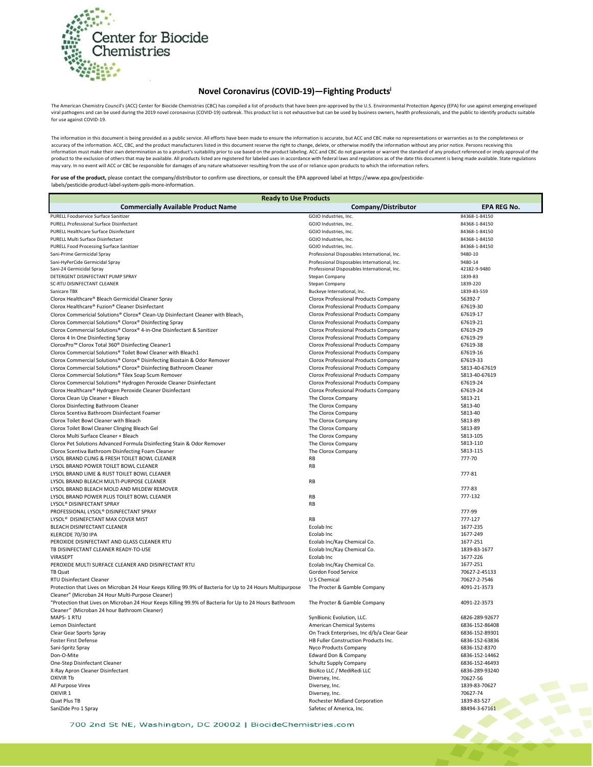

## **Novel Coronavirus (COVID-19)—Fighting Products<sup>i</sup>**

The American Chemistry Council's (ACC) Center for Biocide Chemistries (CBC) has compiled a list of products that have been pre-approved by the U.S. Environmental Protection Agency (EPA) for use against emerging enveloped or and can be used during the 2019 novel coronavirus (COVID-19) outbreak. This product list is not exhaustive but can be used by business owners, health professionals, and the public to identify products suitable viral par for use against COVID-19.

The information in this document is being provided as a public service. All efforts have been made to ensure the information is accurate, but ACC and CBC make no representations or warranties as to the completeness or accuracy of the information. ACC, CBC, and the product manufacturers listed in this document reserve the right to change, delete, or otherwise modify the information without any prior notice. Persons receiving this information must make their own determination as to a product's suitability prior to use based on the product labeling. ACC and CBC do not guarantee or warrant the standard of any product referenced or imply approval of th may vary. In no event will ACC or CBC be responsible for damages of any nature whatsoever resulting from the use of or reliance upon products to which the information refers.

For use of the product, please contact the company/distributor to confirm use directions, or consult the EPA approved label at https://www.epa.gov/pesticide-

labels/pesticide-product-label-system-ppls-more-information.

| <b>Ready to Use Products</b>                                                                              |                                              |                    |  |  |
|-----------------------------------------------------------------------------------------------------------|----------------------------------------------|--------------------|--|--|
| <b>Commercially Available Product Name</b>                                                                | Company/Distributor                          | <b>EPA REG No.</b> |  |  |
| PURELL Foodservice Surface Sanitizer                                                                      | GOJO Industries, Inc.                        | 84368-1-84150      |  |  |
| PURELL Professional Surface Disinfectant                                                                  | GOJO Industries, Inc.                        | 84368-1-84150      |  |  |
| PURELL Healthcare Surface Disinfectant                                                                    | GOJO Industries, Inc.                        | 84368-1-84150      |  |  |
| PURELL Multi Surface Disinfectant                                                                         | GOJO Industries, Inc.                        | 84368-1-84150      |  |  |
| PURELL Food Processing Surface Sanitizer                                                                  | GOJO Industries, Inc.                        | 84368-1-84150      |  |  |
| Sani-Prime Germicidal Spray                                                                               | Professional Disposables International, Inc. | 9480-10            |  |  |
| Sani-HyPerCide Germicidal Spray                                                                           | Professional Disposables International, Inc. | 9480-14            |  |  |
| Sani-24 Germicidal Spray                                                                                  | Professional Disposables International, Inc. | 42182-9-9480       |  |  |
| DETERGENT DISINFECTANT PUMP SPRAY                                                                         | Stepan Company                               | 1839-83            |  |  |
| SC-RTU DISINFECTANT CLEANER                                                                               | Stepan Company                               | 1839-220           |  |  |
| Sanicare TBX                                                                                              | Buckeye International, Inc.                  | 1839-83-559        |  |  |
| Clorox Healthcare® Bleach Germicidal Cleaner Spray                                                        | Clorox Professional Products Company         | 56392-7            |  |  |
| Clorox Healthcare® Fuzion® Cleaner Disinfectant                                                           | Clorox Professional Products Company         | 67619-30           |  |  |
| Clorox Commericial Solutions® Clorox® Clean-Up Disinfectant Cleaner with Bleach,                          | Clorox Professional Products Company         | 67619-17           |  |  |
| Clorox Commercial Solutions® Clorox® Disinfecting Spray                                                   | Clorox Professional Products Company         | 67619-21           |  |  |
| Clorox Commercial Solutions® Clorox® 4-in-One Disinfectant & Sanitizer                                    | Clorox Professional Products Company         | 67619-29           |  |  |
| Clorox 4 In One Disinfecting Spray                                                                        | Clorox Professional Products Company         | 67619-29           |  |  |
| CloroxPro <sup>™</sup> Clorox Total 360 <sup>®</sup> Disinfecting Cleaner1                                | Clorox Professional Products Company         | 67619-38           |  |  |
| Clorox Commercial Solutions® Toilet Bowl Cleaner with Bleach1                                             | Clorox Professional Products Company         | 67619-16           |  |  |
| Clorox Commercial Solutions® Clorox® Disinfecting Biostain & Odor Remover                                 | Clorox Professional Products Company         | 67619-33           |  |  |
| Clorox Commercial Solutions® Clorox® Disinfecting Bathroom Cleaner                                        | Clorox Professional Products Company         | 5813-40-67619      |  |  |
| Clorox Commercial Solutions® Tilex Soap Scum Remover                                                      | Clorox Professional Products Company         | 5813-40-67619      |  |  |
| Clorox Commercial Solutions® Hydrogen Peroxide Cleaner Disinfectant                                       | Clorox Professional Products Company         | 67619-24           |  |  |
| Clorox Healthcare® Hydrogen Peroxide Cleaner Disinfectant                                                 | Clorox Professional Products Company         | 67619-24           |  |  |
| Clorox Clean Up Cleaner + Bleach                                                                          | The Clorox Company                           | 5813-21            |  |  |
| Clorox Disinfecting Bathroom Cleaner                                                                      | The Clorox Company                           | 5813-40            |  |  |
| Clorox Scentiva Bathroom Disinfectant Foamer                                                              | The Clorox Company                           | 5813-40            |  |  |
| Clorox Toilet Bowl Cleaner with Bleach                                                                    | The Clorox Company                           | 5813-89            |  |  |
| Clorox Toilet Bowl Cleaner Clinging Bleach Gel                                                            | The Clorox Company                           | 5813-89            |  |  |
| Clorox Multi Surface Cleaner + Bleach                                                                     | The Clorox Company                           | 5813-105           |  |  |
| Clorox Pet Solutions Advanced Formula Disinfecting Stain & Odor Remover                                   | The Clorox Company                           | 5813-110           |  |  |
| Clorox Scentiva Bathroom Disinfecting Foam Cleaner                                                        | The Clorox Company                           | 5813-115           |  |  |
| LYSOL BRAND CLING & FRESH TOILET BOWL CLEANER                                                             | RB                                           | 777-70             |  |  |
| LYSOL BRAND POWER TOILET BOWL CLEANER                                                                     | RB                                           |                    |  |  |
| LYSOL BRAND LIME & RUST TOILET BOWL CLEANER                                                               |                                              | 777-81             |  |  |
| LYSOL BRAND BLEACH MULTI-PURPOSE CLEANER                                                                  | RB                                           |                    |  |  |
| LYSOL BRAND BLEACH MOLD AND MILDEW REMOVER                                                                |                                              | 777-83<br>777-132  |  |  |
| LYSOL BRAND POWER PLUS TOILET BOWL CLEANER                                                                | RB                                           |                    |  |  |
| LYSOL® DISINFECTANT SPRAY                                                                                 | RB                                           | 777-99             |  |  |
| PROFESSIONAL LYSOL® DISINFECTANT SPRAY<br>LYSOL® DISINEFCTANT MAX COVER MIST                              | RB                                           | 777-127            |  |  |
| BLEACH DISINFECTANT CLEANER                                                                               | Ecolab Inc                                   | 1677-235           |  |  |
| KLERCIDE 70/30 IPA                                                                                        | Ecolab Inc                                   | 1677-249           |  |  |
| PEROXIDE DISINFECTANT AND GLASS CLEANER RTU                                                               | Ecolab Inc/Kay Chemical Co.                  | 1677-251           |  |  |
| TB DISINFECTANT CLEANER READY-TO-USE                                                                      | Ecolab Inc/Kay Chemical Co.                  | 1839-83-1677       |  |  |
| <b>VIRASEPT</b>                                                                                           | Ecolab Inc                                   | 1677-226           |  |  |
| PEROXIDE MULTI SURFACE CLEANER AND DISINFECTANT RTU                                                       | Ecolab Inc/Kay Chemical Co.                  | 1677-251           |  |  |
| TB Quat                                                                                                   | Gordon Food Service                          | 70627-2-45133      |  |  |
| <b>RTU Disinfectant Cleaner</b>                                                                           | U S Chemical                                 | 70627-2-7546       |  |  |
| Protection that Lives on Microban 24 Hour Keeps Killing 99.9% of Bacteria for Up to 24 Hours Multipurpose | The Procter & Gamble Company                 | 4091-21-3573       |  |  |
| Cleaner" (Microban 24 Hour Multi-Purpose Cleaner)                                                         |                                              |                    |  |  |
| "Protection that Lives on Microban 24 Hour Keeps Killing 99.9% of Bacteria for Up to 24 Hours Bathroom    | The Procter & Gamble Company                 | 4091-22-3573       |  |  |
| Cleaner" (Microban 24 hour Bathroom Cleaner)                                                              |                                              |                    |  |  |
| MAPS-1 RTU                                                                                                | SynBionic Evolution, LLC.                    | 6826-289-92677     |  |  |
| Lemon Disinfectant                                                                                        | American Chemical Systems                    | 6836-152-86408     |  |  |
| Clear Gear Sports Spray                                                                                   | On Track Enterprises, Inc d/b/a Clear Gear   | 6836-152-89301     |  |  |
| Foster First Defense                                                                                      | HB Fuller Construction Products Inc.         | 6836-152-63836     |  |  |
| Sani-Spritz Spray                                                                                         | Nyco Products Company                        | 6836-152-8370      |  |  |
| Don-O-Mite                                                                                                | Edward Don & Company                         | 6836-152-14462     |  |  |
| One-Step Disinfectant Cleaner                                                                             | Schultz Supply Company                       | 6836-152-46493     |  |  |
| X-Ray Apron Cleaner Disinfectant                                                                          | BioXco LLC / MediRedi LLC                    | 6836-289-93240     |  |  |
| <b>OXIVIR Tb</b>                                                                                          | Diversey, Inc.                               | 70627-56           |  |  |
| All Purpose Virex                                                                                         | Diversey, Inc.                               | 1839-83-70627      |  |  |
| OXIVIR 1                                                                                                  | Diversey, Inc.                               | 70627-74           |  |  |
| Quat Plus TB                                                                                              | Rochester Midland Corporation                | 1839-83-527        |  |  |
| SaniZide Pro 1 Spray                                                                                      | Safetec of America, Inc.                     | 88494-3-67161      |  |  |

 $\blacklozenge$ 

700 2nd St NE, Washington, DC 20002 | BiocideChemistries.com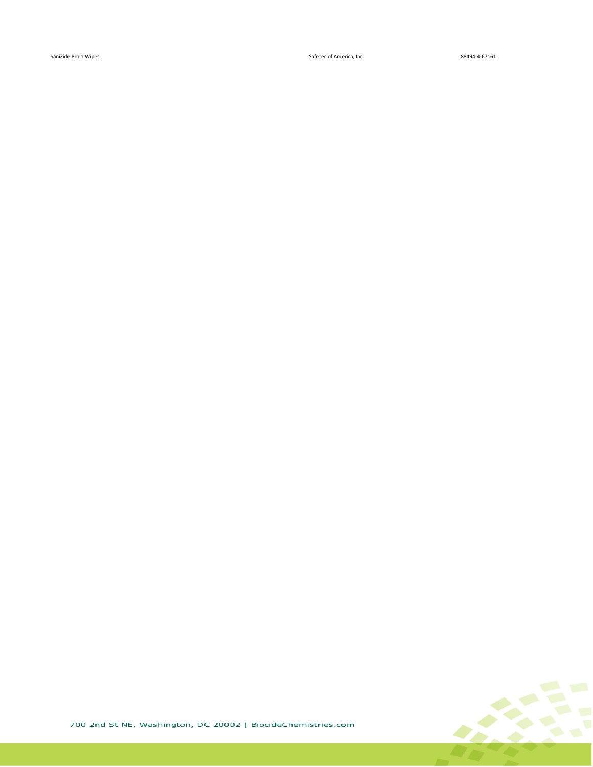Safetec of America, Inc. 68494-4-67161 Safetec of America, Inc. 68494-4-67161 Safetec of America, Inc. 88494-4-67161

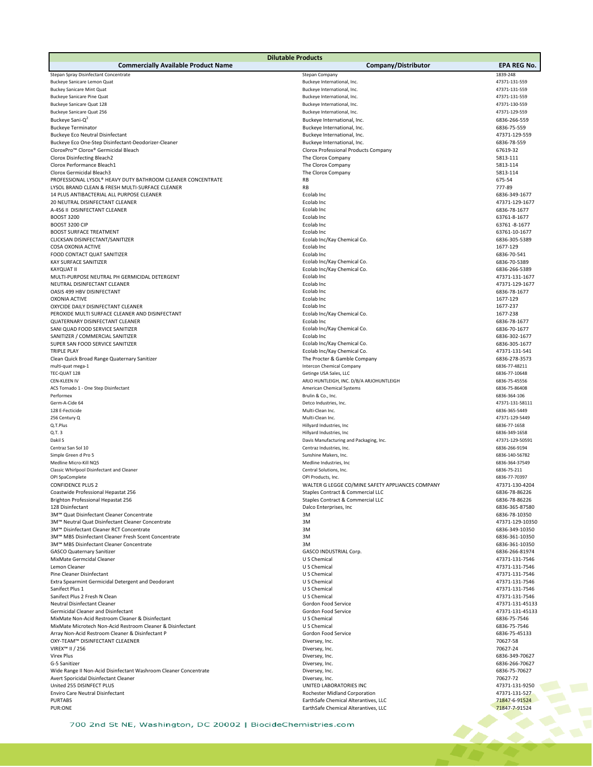|                                                                                     | <b>Dilutable Products</b>                                           |                                    |
|-------------------------------------------------------------------------------------|---------------------------------------------------------------------|------------------------------------|
| <b>Commercially Available Product Name</b>                                          | Company/Distributor                                                 | <b>EPA REG No.</b>                 |
| Stepan Spray Disinfectant Concentrate                                               | Stepan Company                                                      | 1839-248                           |
| Buckeye Sanicare Lemon Quat                                                         | Buckeye International, Inc.                                         | 47371-131-559                      |
| <b>Buckey Sanicare Mint Quat</b>                                                    | Buckeye International, Inc.                                         | 47371-131-559                      |
| <b>Buckeye Sanicare Pine Quat</b>                                                   | Buckeye International, Inc.                                         | 47371-131-559                      |
| <b>Buckeye Sanicare Quat 128</b>                                                    | Buckeye International, Inc.                                         | 47371-130-559                      |
| Buckeye Sanicare Quat 256                                                           | Buckeye International, Inc.                                         | 47371-129-559                      |
| Buckeye Sani-Q <sup>2</sup>                                                         | Buckeye International, Inc.                                         | 6836-266-559                       |
| <b>Buckeye Terminator</b>                                                           | Buckeye International, Inc.                                         | 6836-75-559                        |
| <b>Buckeye Eco Neutral Disinfectant</b>                                             | Buckeye International, Inc.                                         | 47371-129-559                      |
| Buckeye Eco One-Step Disinfectant-Deodorizer-Cleaner                                | Buckeye International, Inc.                                         | 6836-78-559                        |
| CloroxPro™ Clorox® Germicidal Bleach                                                | Clorox Professional Products Company                                | 67619-32                           |
| Clorox Disinfecting Bleach2                                                         | The Clorox Company                                                  | 5813-111                           |
| Clorox Performance Bleach1                                                          | The Clorox Company                                                  | 5813-114                           |
| Clorox Germicidal Bleach3                                                           | The Clorox Company                                                  | 5813-114                           |
| PROFESSIONAL LYSOL® HEAVY DUTY BATHROOM CLEANER CONCENTRATE                         | RB                                                                  | 675-54                             |
| LYSOL BRAND CLEAN & FRESH MULTI-SURFACE CLEANER                                     | <b>RB</b>                                                           | 777-89                             |
| 14 PLUS ANTIBACTERIAL ALL PURPOSE CLEANER                                           | Ecolab Inc.                                                         | 6836-349-1677                      |
| 20 NEUTRAL DISINFECTANT CLEANER                                                     | Ecolab Inc                                                          | 47371-129-1677                     |
| A-456 II DISINFECTANT CLEANER                                                       | Ecolab Inc                                                          | 6836-78-1677                       |
| <b>BOOST 3200</b>                                                                   | Ecolab Inc                                                          | 63761-8-1677                       |
| BOOST 3200 CIP                                                                      | Ecolab Inc                                                          | 63761-8-1677                       |
| <b>BOOST SURFACE TREATMENT</b>                                                      | Ecolab Inc                                                          | 63761-10-1677                      |
| CLICKSAN DISINFECTANT/SANITIZER                                                     | Ecolab Inc/Kay Chemical Co.                                         | 6836-305-5389                      |
| COSA OXONIA ACTIVE                                                                  | Ecolab Inc                                                          | 1677-129                           |
| FOOD CONTACT QUAT SANITIZER                                                         | Ecolab Inc                                                          | 6836-70-541                        |
| KAY SURFACE SANITIZER                                                               | Ecolab Inc/Kay Chemical Co.                                         | 6836-70-5389                       |
| <b>KAYQUAT II</b>                                                                   | Ecolab Inc/Kay Chemical Co.                                         | 6836-266-5389                      |
| MULTI-PURPOSE NEUTRAL PH GERMICIDAL DETERGENT                                       | Ecolab Inc                                                          | 47371-131-1677                     |
| NEUTRAL DISINFECTANT CLEANER<br>OASIS 499 HBV DISINFECTANT                          | Ecolab Inc<br>Ecolab Inc                                            | 47371-129-1677                     |
|                                                                                     | Ecolab Inc                                                          | 6836-78-1677<br>1677-129           |
| <b>OXONIA ACTIVE</b><br>OXYCIDE DAILY DISINFECTANT CLEANER                          | Ecolab Inc                                                          | 1677-237                           |
| PEROXIDE MULTI SURFACE CLEANER AND DISINFECTANT                                     | Ecolab Inc/Kay Chemical Co.                                         | 1677-238                           |
| QUATERNARY DISINFECTANT CLEANER                                                     | Ecolab Inc                                                          | 6836-78-1677                       |
| SANI QUAD FOOD SERVICE SANITIZER                                                    | Ecolab Inc/Kay Chemical Co.                                         | 6836-70-1677                       |
| SANITIZER / COMMERCIAL SANITIZER                                                    | Ecolab Inc                                                          | 6836-302-1677                      |
| SUPER SAN FOOD SERVICE SANITIZER                                                    | Ecolab Inc/Kay Chemical Co.                                         | 6836-305-1677                      |
| <b>TRIPLE PLAY</b>                                                                  | Ecolab Inc/Kay Chemical Co.                                         | 47371-131-541                      |
| Clean Quick Broad Range Quaternary Sanitizer                                        | The Procter & Gamble Company                                        | 6836-278-3573                      |
| multi-quat mega-1                                                                   | Intercon Chemical Company                                           | 6836-77-48211                      |
| TEC-QUAT 128                                                                        | Getinge USA Sales, LLC                                              | 6836-77-10648                      |
| <b>CEN-KLEEN IV</b>                                                                 | ARJO HUNTLEIGH, INC. D/B/A ARJOHUNTLEIGH                            | 6836-75-45556                      |
| ACS Tornado 1 - One Step Disinfectant                                               | American Chemical Systems                                           | 6836-75-86408                      |
| Performex                                                                           | Brulin & Co., Inc.                                                  | 6836-364-106                       |
| Germ-A-Cide 64                                                                      | Detco Industries, Inc.                                              | 47371-131-58111                    |
| 128 E-Fecticide                                                                     | Multi-Clean Inc.                                                    | 6836-365-5449                      |
| 256 Century Q                                                                       | Multi-Clean Inc.                                                    | 47371-129-5449                     |
| Q.T.Plus                                                                            | Hillyard Industries, Inc                                            | 6836-77-1658                       |
| Q.T.3                                                                               | Hillyard Industries, Inc.                                           | 6836-349-1658                      |
| Dakil S<br>Centraz San Sol 10                                                       | Davis Manufacturing and Packaging, Inc.<br>Centraz Industries, Inc. | 47371-129-50591<br>6836-266-9194   |
|                                                                                     | Sunshine Makers, Inc.                                               |                                    |
| Simple Green d Pro 5<br>Medline Micro-Kill NQ5                                      | Medline Industries, Inc.                                            | 6836-140-56782<br>6836-364-37549   |
| Classic Whirlpool Disinfectant and Cleaner                                          | Central Solutions, Inc.                                             | 6836-75-211                        |
| OPI SpaComplete                                                                     | OPI Products, Inc.                                                  | 6836-77-70397                      |
| <b>CONFIDENCE PLUS 2</b>                                                            | WALTER G LEGGE CO/MINE SAFETY APPLIANCES COMPANY                    | 47371-130-4204                     |
| Coastwide Professional Hepastat 256                                                 | Staples Contract & Commercial LLC                                   | 6836-78-86226                      |
| Brighton Professional Hepastat 256                                                  | Staples Contract & Commercial LLC                                   | 6836-78-86226                      |
| 128 Disinfectant                                                                    | Dalco Enterprises, Inc.                                             | 6836-365-87580                     |
| 3M™ Quat Disinfectant Cleaner Concentrate                                           | 3M                                                                  | 6836-78-10350                      |
| 3M™ Neutral Quat Disinfectant Cleaner Concentrate                                   | 3M                                                                  | 47371-129-10350                    |
| 3M™ Disinfectant Cleaner RCT Concentrate                                            | 3M                                                                  | 6836-349-10350                     |
| 3M™ MBS Disinfectant Cleaner Fresh Scent Concentrate                                | 3M                                                                  | 6836-361-10350                     |
| 3M™ MBS Disinfectant Cleaner Concentrate                                            | 3M                                                                  | 6836-361-10350                     |
| <b>GASCO Quaternary Sanitizer</b>                                                   | GASCO INDUSTRIAL Corp.                                              | 6836-266-81974                     |
| MixMate Germcidal Cleaner                                                           | U S Chemical                                                        | 47371-131-7546                     |
| Lemon Cleaner                                                                       | U S Chemical                                                        | 47371-131-7546                     |
| Pine Cleaner Disinfectant                                                           | U S Chemical                                                        | 47371-131-7546                     |
| Extra Spearmint Germicidal Detergent and Deodorant                                  | U S Chemical                                                        | 47371-131-7546                     |
| Sanifect Plus 1                                                                     | U S Chemical                                                        | 47371-131-7546                     |
| Sanifect Plus 2 Fresh N Clean                                                       | U S Chemical                                                        | 47371-131-7546                     |
| <b>Neutral Disinfectant Cleaner</b><br>Germicidal Cleaner and Disinfectant          | Gordon Food Service                                                 | 47371-131-45133<br>47371-131-45133 |
|                                                                                     | Gordon Food Service                                                 |                                    |
| MixMate Non-Acid Restroom Cleaner & Disinfectant                                    | U S Chemical<br>U S Chemical                                        | 6836-75-7546<br>6836-75-7546       |
| MixMate Microtech Non-Acid Restroom Cleaner & Disinfectant                          |                                                                     |                                    |
| Array Non-Acid Restroom Cleaner & Disinfectant P<br>OXY-TEAM™ DISINFECTANT CLEAENER | Gordon Food Service<br>Diversey, Inc.                               | 6836-75-45133<br>70627-58          |
| VIREX <sup>™</sup> II / 256                                                         | Diversey, Inc.                                                      | 70627-24                           |
| Virex Plus                                                                          | Diversey, Inc.                                                      | 6836-349-70627                     |
| G-5 Sanitizer                                                                       | Diversey, Inc.                                                      | 6836-266-70627                     |
| Wide Range II Non-Acid Disinfectant Washroom Cleaner Concentrate                    | Diversey, Inc.                                                      | 6836-75-70627                      |
| Avert Sporicidal Disinfectant Cleaner                                               | Diversey, Inc.                                                      | 70627-72                           |
| United 255 DISINFECT PLUS                                                           | UNITED LABORATORIES INC                                             | 47371-131-9250                     |
| Enviro Care Neutral Disinfectant                                                    | Rochester Midland Corporation                                       | 47371-131-527                      |
| <b>PURTABS</b>                                                                      | EarthSafe Chemical Alterantives, LLC                                | 71847-6-91524                      |
| PUR:ONE                                                                             | EarthSafe Chemical Alterantives, LLC                                | 71847-7-91524                      |

700 2nd St NE, Washington, DC 20002 | BiocideChemistries.com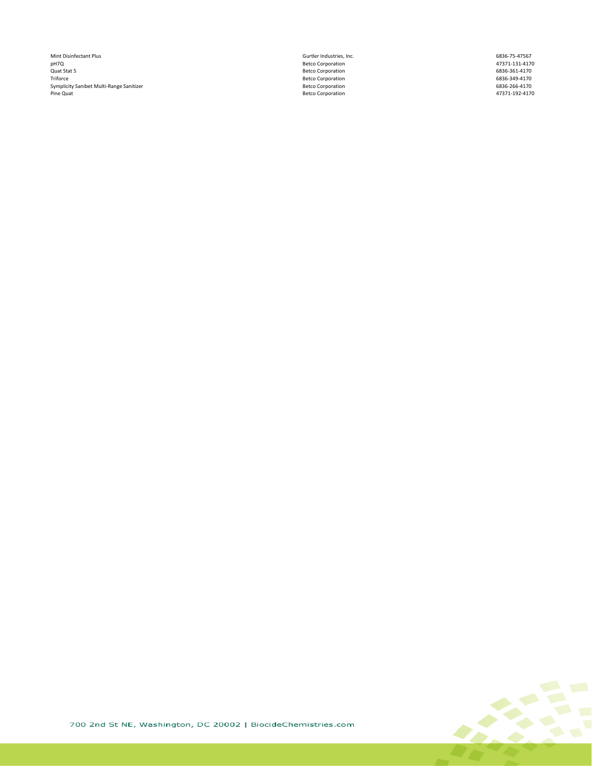Mint Disinfectant Plus G836-75-47567 (Campus Gurtler Industries, Inc. 6836-75-47567 (Campus Gurtler Industries, Inc. 6836-75-47567 (Campus Gurtler Industries, Inc. 6836-75-47567 (Campus Gurtler Industries, Inc. 6836-75-475 pH7Q Betco Corporation 47371-131-4170 Quat Stat 5 Betco Corporation 6836-361-4170 Triforce Betco Corporation و 6836-349-4170<br>Symplicity Sanibet Multi-Range Sanitizer and the state of the corporation of the corporation of the state of the state of the state of the state of the state of the state of the